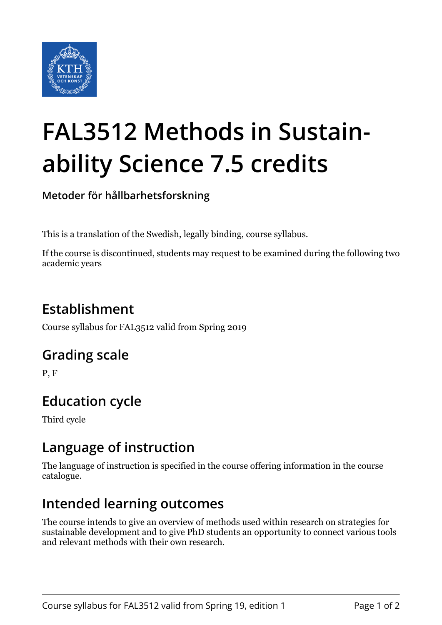

# **FAL3512 Methods in Sustainability Science 7.5 credits**

**Metoder för hållbarhetsforskning**

This is a translation of the Swedish, legally binding, course syllabus.

If the course is discontinued, students may request to be examined during the following two academic years

## **Establishment**

Course syllabus for FAL3512 valid from Spring 2019

#### **Grading scale**

P, F

## **Education cycle**

Third cycle

#### **Language of instruction**

The language of instruction is specified in the course offering information in the course catalogue.

#### **Intended learning outcomes**

The course intends to give an overview of methods used within research on strategies for sustainable development and to give PhD students an opportunity to connect various tools and relevant methods with their own research.